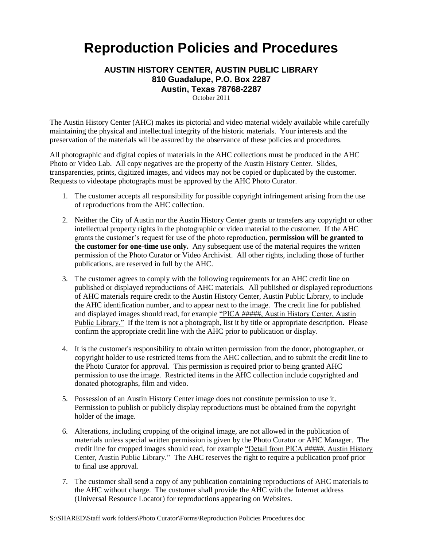## **Reproduction Policies and Procedures**

## **AUSTIN HISTORY CENTER, AUSTIN PUBLIC LIBRARY 810 Guadalupe, P.O. Box 2287 Austin, Texas 78768-2287**

October 2011

The Austin History Center (AHC) makes its pictorial and video material widely available while carefully maintaining the physical and intellectual integrity of the historic materials. Your interests and the preservation of the materials will be assured by the observance of these policies and procedures.

All photographic and digital copies of materials in the AHC collections must be produced in the AHC Photo or Video Lab. All copy negatives are the property of the Austin History Center. Slides, transparencies, prints, digitized images, and videos may not be copied or duplicated by the customer. Requests to videotape photographs must be approved by the AHC Photo Curator.

- 1. The customer accepts all responsibility for possible copyright infringement arising from the use of reproductions from the AHC collection.
- 2. Neither the City of Austin nor the Austin History Center grants or transfers any copyright or other intellectual property rights in the photographic or video material to the customer. If the AHC grants the customer's request for use of the photo reproduction, **permission will be granted to the customer for one-time use only.** Any subsequent use of the material requires the written permission of the Photo Curator or Video Archivist. All other rights, including those of further publications, are reserved in full by the AHC.
- 3. The customer agrees to comply with the following requirements for an AHC credit line on published or displayed reproductions of AHC materials. All published or displayed reproductions of AHC materials require credit to the Austin History Center, Austin Public Library, to include the AHC identification number, and to appear next to the image. The credit line for published and displayed images should read, for example "PICA #####, Austin History Center, Austin Public Library." If the item is not a photograph, list it by title or appropriate description. Please confirm the appropriate credit line with the AHC prior to publication or display.
- 4. It is the customer's responsibility to obtain written permission from the donor, photographer, or copyright holder to use restricted items from the AHC collection, and to submit the credit line to the Photo Curator for approval. This permission is required prior to being granted AHC permission to use the image. Restricted items in the AHC collection include copyrighted and donated photographs, film and video.
- 5. Possession of an Austin History Center image does not constitute permission to use it. Permission to publish or publicly display reproductions must be obtained from the copyright holder of the image.
- 6. Alterations, including cropping of the original image, are not allowed in the publication of materials unless special written permission is given by the Photo Curator or AHC Manager. The credit line for cropped images should read, for example "Detail from PICA #####, Austin History Center, Austin Public Library." The AHC reserves the right to require a publication proof prior to final use approval.
- 7. The customer shall send a copy of any publication containing reproductions of AHC materials to the AHC without charge. The customer shall provide the AHC with the Internet address (Universal Resource Locator) for reproductions appearing on Websites.

S:\SHARED\Staff work folders\Photo Curator\Forms\Reproduction Policies Procedures.doc